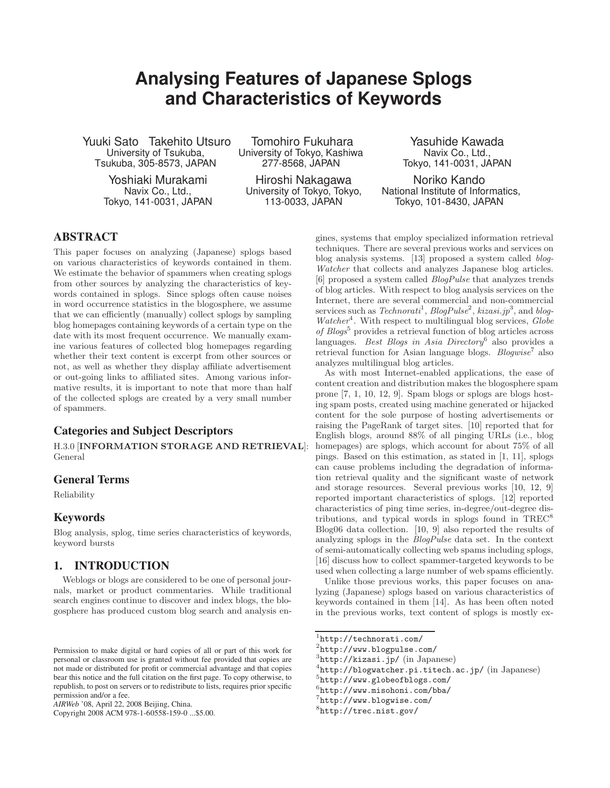# **Analysing Features of Japanese Splogs and Characteristics of Keywords**

Yuuki Sato Takehito Utsuro University of Tsukuba, Tsukuba, 305-8573, JAPAN

> Yoshiaki Murakami Navix Co., Ltd., Tokyo, 141-0031, JAPAN

Tomohiro Fukuhara University of Tokyo, Kashiwa 277-8568, JAPAN

Hiroshi Nakagawa University of Tokyo, Tokyo, 113-0033, JAPAN

Yasuhide Kawada Navix Co., Ltd., Tokyo, 141-0031, JAPAN

Noriko Kando National Institute of Informatics, Tokyo, 101-8430, JAPAN

### ABSTRACT

This paper focuses on analyzing (Japanese) splogs based on various characteristics of keywords contained in them. We estimate the behavior of spammers when creating splogs from other sources by analyzing the characteristics of keywords contained in splogs. Since splogs often cause noises in word occurrence statistics in the blogosphere, we assume that we can efficiently (manually) collect splogs by sampling blog homepages containing keywords of a certain type on the date with its most frequent occurrence. We manually examine various features of collected blog homepages regarding whether their text content is excerpt from other sources or not, as well as whether they display affiliate advertisement or out-going links to affiliated sites. Among various informative results, it is important to note that more than half of the collected splogs are created by a very small number of spammers.

### Categories and Subject Descriptors

H.3.0 [**INFORMATION STORAGE AND RETRIEVAL**]: General

#### General Terms

Reliability

### Keywords

Blog analysis, splog, time series characteristics of keywords, keyword bursts

### 1. INTRODUCTION

Weblogs or blogs are considered to be one of personal journals, market or product commentaries. While traditional search engines continue to discover and index blogs, the blogosphere has produced custom blog search and analysis en-

Copyright 2008 ACM 978-1-60558-159-0 ...\$5.00.

gines, systems that employ specialized information retrieval techniques. There are several previous works and services on blog analysis systems. [13] proposed a system called blog-Watcher that collects and analyzes Japanese blog articles. [6] proposed a system called BlogPulse that analyzes trends of blog articles. With respect to blog analysis services on the Internet, there are several commercial and non-commercial services such as  $Technorati<sup>1</sup>$ ,  $BlogPulse<sup>2</sup>$ ,  $kizasi.jp<sup>3</sup>$ , and blog- $Water<sup>4</sup>$ . With respect to multilingual blog services, Globe of  $B\log s^5$  provides a retrieval function of blog articles across languages. Best Blogs in Asia Directory<sup>6</sup> also provides a retrieval function for Asian language blogs.  $B\omega$ ise<sup>7</sup> also analyzes multilingual blog articles.

As with most Internet-enabled applications, the ease of content creation and distribution makes the blogosphere spam prone [7, 1, 10, 12, 9]. Spam blogs or splogs are blogs hosting spam posts, created using machine generated or hijacked content for the sole purpose of hosting advertisements or raising the PageRank of target sites. [10] reported that for English blogs, around 88% of all pinging URLs (i.e., blog homepages) are splogs, which account for about  $75\%$  of all pings. Based on this estimation, as stated in [1, 11], splogs can cause problems including the degradation of information retrieval quality and the significant waste of network and storage resources. Several previous works [10, 12, 9] reported important characteristics of splogs. [12] reported characteristics of ping time series, in-degree/out-degree distributions, and typical words in splogs found in TREC<sup>8</sup> Blog06 data collection. [10, 9] also reported the results of analyzing splogs in the BlogPulse data set. In the context of semi-automatically collecting web spams including splogs, [16] discuss how to collect spammer-targeted keywords to be used when collecting a large number of web spams efficiently.

Unlike those previous works, this paper focuses on analyzing (Japanese) splogs based on various characteristics of keywords contained in them [14]. As has been often noted in the previous works, text content of splogs is mostly ex-

 $^2$ http://www.blogpulse.com/<br> $^3$ http://kizasi.jp/ (in Japanese)

Permission to make digital or hard copies of all or part of this work for personal or classroom use is granted without fee provided that copies are not made or distributed for profit or commercial advantage and that copies bear this notice and the full citation on the first page. To copy otherwise, to republish, to post on servers or to redistribute to lists, requires prior specific permission and/or a fee.

*AIRWeb* '08, April 22, 2008 Beijing, China.

<sup>1</sup>http://technorati.com/

 ${}^{4}$ http://blogwatcher.pi.titech.ac.jp/ (in Japanese)  ${}^{5}$ http://www.globeofblogs.com/

 $6$ http://www.misohoni.com/bba/

<sup>7</sup>http://www.blogwise.com/

<sup>8</sup>http://trec.nist.gov/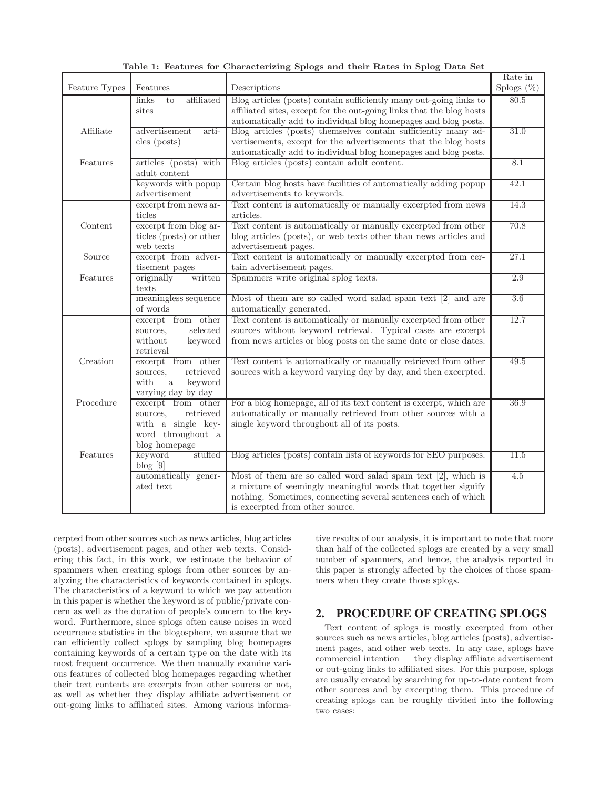|               |                             | Table 1: reatures for Characterizing Spiogs and their nates in Spiog Data Set |                          |
|---------------|-----------------------------|-------------------------------------------------------------------------------|--------------------------|
| Feature Types | Features                    | Descriptions                                                                  | Rate in<br>Splogs $(\%)$ |
|               | affiliated<br>links<br>to   | Blog articles (posts) contain sufficiently many out-going links to            | 80.5                     |
|               | sites                       | affiliated sites, except for the out-going links that the blog hosts          |                          |
|               |                             | automatically add to individual blog homepages and blog posts.                |                          |
| Affiliate     | advertisement<br>arti-      | Blog articles (posts) themselves contain sufficiently many ad-                | 31.0                     |
|               |                             |                                                                               |                          |
|               | $\text{cles (posts)}$       | vertisements, except for the advertisements that the blog hosts               |                          |
|               |                             | automatically add to individual blog homepages and blog posts.                |                          |
| Features      | articles (posts) with       | Blog articles (posts) contain adult content.                                  | 8.1                      |
|               | adult content               |                                                                               |                          |
|               | keywords with popup         | Certain blog hosts have facilities of automatically adding popup              | 42.1                     |
|               | ${\rm advertisement}$       | advertisements to keywords.                                                   |                          |
|               | excerpt from news ar-       | Text content is automatically or manually excerpted from news                 | 14.3                     |
|               | ticles                      | articles.                                                                     |                          |
| Content       | excerpt from blog ar-       | Text content is automatically or manually excerpted from other                | 70.8                     |
|               | ticles (posts) or other     | blog articles (posts), or web texts other than news articles and              |                          |
|               | web texts                   | advertisement pages.                                                          |                          |
| Source        | excerpt from adver-         | Text content is automatically or manually excerpted from cer-                 | 27.1                     |
|               | tisement pages              | tain advertisement pages.                                                     |                          |
| Features      | originally<br>written       | Spammers write original splog texts.                                          | 2.9                      |
|               | texts                       |                                                                               |                          |
|               | meaningless sequence        | Most of them are so called word salad spam text $[2]$ and are                 | 3.6                      |
|               | of words                    | automatically generated.                                                      |                          |
|               | excerpt from other          | Text content is automatically or manually excerpted from other                | 12.7                     |
|               | selected<br>sources,        | sources without keyword retrieval. Typical cases are excerpt                  |                          |
|               | without<br>keyword          | from news articles or blog posts on the same date or close dates.             |                          |
|               | retrieval                   |                                                                               |                          |
| Creation      | excerpt from other          | Text content is automatically or manually retrieved from other                | 49.5                     |
|               | sources,<br>retrieved       | sources with a keyword varying day by day, and then excerpted.                |                          |
|               | with<br>keyword<br>$\rm{a}$ |                                                                               |                          |
|               | varying day by day          |                                                                               |                          |
| Procedure     | excerpt from other          | For a blog homepage, all of its text content is excerpt, which are            | 36.9                     |
|               | retrieved<br>sources,       | automatically or manually retrieved from other sources with a                 |                          |
|               | with a single key-          | single keyword throughout all of its posts.                                   |                          |
|               | word throughout a           |                                                                               |                          |
|               |                             |                                                                               |                          |
|               | blog homepage               | Blog articles (posts) contain lists of keywords for SEO purposes.             | 11.5                     |
| Features      | keyword<br>stuffed          |                                                                               |                          |
|               | blog[9]                     |                                                                               |                          |
|               | automatically gener-        | Most of them are so called word salad spam text $[2]$ , which is              | 4.5                      |
|               | ated text                   | a mixture of seemingly meaningful words that together signify                 |                          |
|               |                             | nothing. Sometimes, connecting several sentences each of which                |                          |
|               |                             | is excerpted from other source.                                               |                          |

**Table 1: Features for Characterizing Splogs and their Rates in Splog Data Set**

cerpted from other sources such as news articles, blog articles (posts), advertisement pages, and other web texts. Considering this fact, in this work, we estimate the behavior of spammers when creating splogs from other sources by analyzing the characteristics of keywords contained in splogs. The characteristics of a keyword to which we pay attention in this paper is whether the keyword is of public/private concern as well as the duration of people's concern to the keyword. Furthermore, since splogs often cause noises in word occurrence statistics in the blogosphere, we assume that we can efficiently collect splogs by sampling blog homepages containing keywords of a certain type on the date with its most frequent occurrence. We then manually examine various features of collected blog homepages regarding whether their text contents are excerpts from other sources or not, as well as whether they display affiliate advertisement or out-going links to affiliated sites. Among various informative results of our analysis, it is important to note that more than half of the collected splogs are created by a very small number of spammers, and hence, the analysis reported in this paper is strongly affected by the choices of those spammers when they create those splogs.

### 2. PROCEDURE OF CREATING SPLOGS

Text content of splogs is mostly excerpted from other sources such as news articles, blog articles (posts), advertisement pages, and other web texts. In any case, splogs have commercial intention — they display affiliate advertisement or out-going links to affiliated sites. For this purpose, splogs are usually created by searching for up-to-date content from other sources and by excerpting them. This procedure of creating splogs can be roughly divided into the following two cases: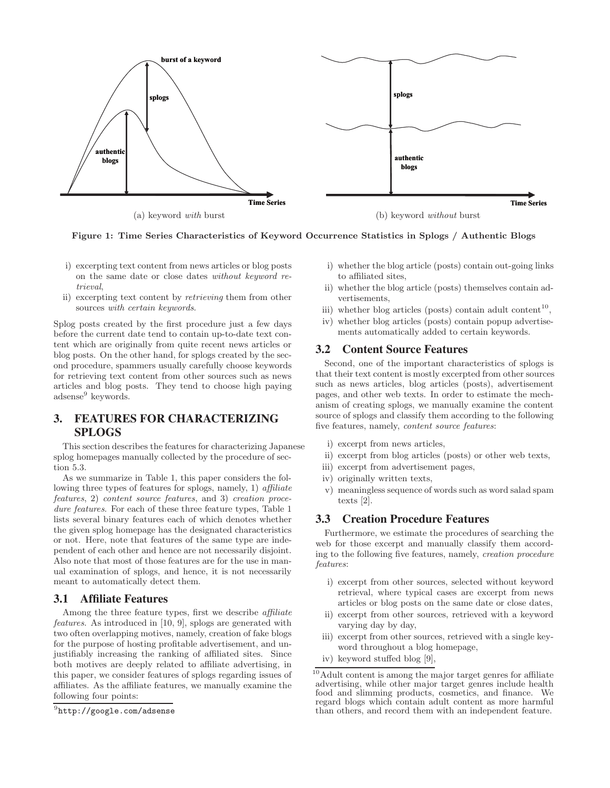

**Figure 1: Time Series Characteristics of Keyword Occurrence Statistics in Splogs / Authentic Blogs**

- i) excerpting text content from news articles or blog posts on the same date or close dates without keyword retrieval,
- ii) excerpting text content by retrieving them from other sources with certain keywords.

Splog posts created by the first procedure just a few days before the current date tend to contain up-to-date text content which are originally from quite recent news articles or blog posts. On the other hand, for splogs created by the second procedure, spammers usually carefully choose keywords for retrieving text content from other sources such as news articles and blog posts. They tend to choose high paying adsense<sup>9</sup> keywords.

# 3. FEATURES FOR CHARACTERIZING SPLOGS

This section describes the features for characterizing Japanese splog homepages manually collected by the procedure of section 5.3.

As we summarize in Table 1, this paper considers the following three types of features for splogs, namely, 1) affiliate features, 2) content source features, and 3) creation procedure features. For each of these three feature types, Table 1 lists several binary features each of which denotes whether the given splog homepage has the designated characteristics or not. Here, note that features of the same type are independent of each other and hence are not necessarily disjoint. Also note that most of those features are for the use in manual examination of splogs, and hence, it is not necessarily meant to automatically detect them.

#### 3.1 Affiliate Features

Among the three feature types, first we describe affiliate features. As introduced in [10, 9], splogs are generated with two often overlapping motives, namely, creation of fake blogs for the purpose of hosting profitable advertisement, and unjustifiably increasing the ranking of affiliated sites. Since both motives are deeply related to affiliate advertising, in this paper, we consider features of splogs regarding issues of affiliates. As the affiliate features, we manually examine the following four points:

- i) whether the blog article (posts) contain out-going links to affiliated sites,
- ii) whether the blog article (posts) themselves contain advertisements,
- iii) whether blog articles (posts) contain adult content<sup>10</sup>,
- iv) whether blog articles (posts) contain popup advertisements automatically added to certain keywords.

### 3.2 Content Source Features

Second, one of the important characteristics of splogs is that their text content is mostly excerpted from other sources such as news articles, blog articles (posts), advertisement pages, and other web texts. In order to estimate the mechanism of creating splogs, we manually examine the content source of splogs and classify them according to the following five features, namely, content source features:

- i) excerpt from news articles,
- ii) excerpt from blog articles (posts) or other web texts,
- iii) excerpt from advertisement pages,
- iv) originally written texts,
- v) meaningless sequence of words such as word salad spam texts [2].

### 3.3 Creation Procedure Features

Furthermore, we estimate the procedures of searching the web for those excerpt and manually classify them according to the following five features, namely, creation procedure features:

- i) excerpt from other sources, selected without keyword retrieval, where typical cases are excerpt from news articles or blog posts on the same date or close dates,
- ii) excerpt from other sources, retrieved with a keyword varying day by day,
- iii) excerpt from other sources, retrieved with a single keyword throughout a blog homepage,
- iv) keyword stuffed blog [9],

<sup>9</sup>http://google.com/adsense

<sup>10</sup>Adult content is among the major target genres for affiliate advertising, while other major target genres include health food and slimming products, cosmetics, and finance. We regard blogs which contain adult content as more harmful than others, and record them with an independent feature.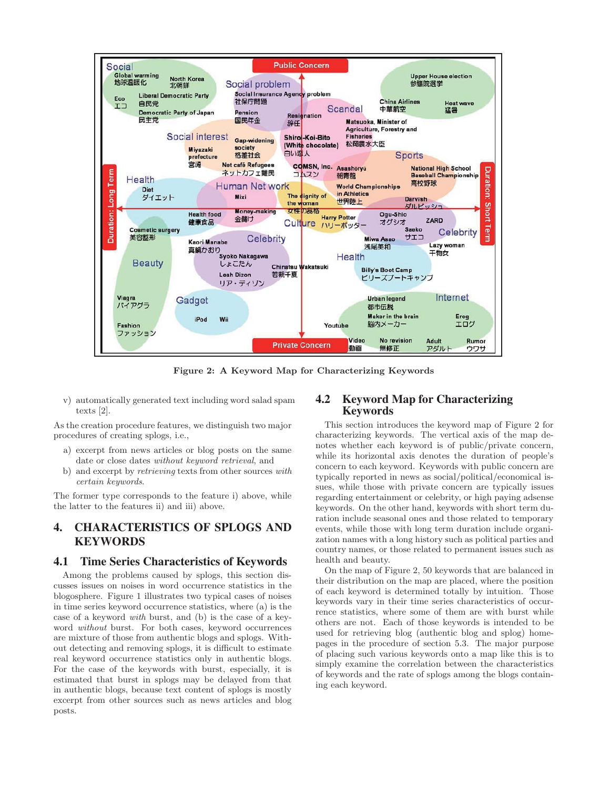

**Figure 2: A Keyword Map for Characterizing Keywords**

v) automatically generated text including word salad spam texts [2].

As the creation procedure features, we distinguish two major procedures of creating splogs, i.e.,

- a) excerpt from news articles or blog posts on the same date or close dates without keyword retrieval, and
- b) and excerpt by retrieving texts from other sources with certain keywords.

The former type corresponds to the feature i) above, while the latter to the features ii) and iii) above.

# 4. CHARACTERISTICS OF SPLOGS AND **KEYWORDS**

#### 4.1 Time Series Characteristics of Keywords

Among the problems caused by splogs, this section discusses issues on noises in word occurrence statistics in the blogosphere. Figure 1 illustrates two typical cases of noises in time series keyword occurrence statistics, where (a) is the case of a keyword with burst, and (b) is the case of a keyword without burst. For both cases, keyword occurrences are mixture of those from authentic blogs and splogs. Without detecting and removing splogs, it is difficult to estimate real keyword occurrence statistics only in authentic blogs. For the case of the keywords with burst, especially, it is estimated that burst in splogs may be delayed from that in authentic blogs, because text content of splogs is mostly excerpt from other sources such as news articles and blog posts.

### 4.2 Keyword Map for Characterizing Keywords

This section introduces the keyword map of Figure 2 for characterizing keywords. The vertical axis of the map denotes whether each keyword is of public/private concern, while its horizontal axis denotes the duration of people's concern to each keyword. Keywords with public concern are typically reported in news as social/political/economical issues, while those with private concern are typically issues regarding entertainment or celebrity, or high paying adsense keywords. On the other hand, keywords with short term duration include seasonal ones and those related to temporary events, while those with long term duration include organization names with a long history such as political parties and country names, or those related to permanent issues such as health and beauty.

On the map of Figure 2, 50 keywords that are balanced in their distribution on the map are placed, where the position of each keyword is determined totally by intuition. Those keywords vary in their time series characteristics of occurrence statistics, where some of them are with burst while others are not. Each of those keywords is intended to be used for retrieving blog (authentic blog and splog) homepages in the procedure of section 5.3. The major purpose of placing such various keywords onto a map like this is to simply examine the correlation between the characteristics of keywords and the rate of splogs among the blogs containing each keyword.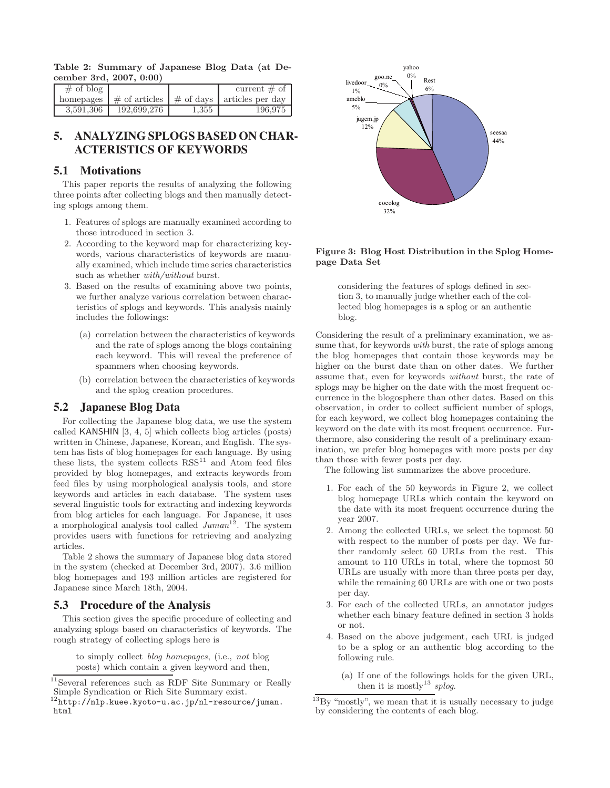**Table 2: Summary of Japanese Blog Data (at December 3rd, 2007, 0:00)**

| $\#$ of blog |             |       | current $\#$ of                                                                          |
|--------------|-------------|-------|------------------------------------------------------------------------------------------|
|              |             |       | homepages $\frac{1}{2}$ of articles $\frac{1}{2}$ of days $\frac{1}{2}$ articles per day |
| 3,591,306    | 192,699,276 | 1,355 | 196.975                                                                                  |

# 5. ANALYZING SPLOGS BASED ON CHAR-ACTERISTICS OF KEYWORDS

### 5.1 Motivations

This paper reports the results of analyzing the following three points after collecting blogs and then manually detecting splogs among them.

- 1. Features of splogs are manually examined according to those introduced in section 3.
- 2. According to the keyword map for characterizing keywords, various characteristics of keywords are manually examined, which include time series characteristics such as whether  $with/without$  burst.
- 3. Based on the results of examining above two points, we further analyze various correlation between characteristics of splogs and keywords. This analysis mainly includes the followings:
	- (a) correlation between the characteristics of keywords and the rate of splogs among the blogs containing each keyword. This will reveal the preference of spammers when choosing keywords.
	- (b) correlation between the characteristics of keywords and the splog creation procedures.

### 5.2 Japanese Blog Data

For collecting the Japanese blog data, we use the system called KANSHIN [3, 4, 5] which collects blog articles (posts) written in Chinese, Japanese, Korean, and English. The system has lists of blog homepages for each language. By using these lists, the system collects  $RSS<sup>11</sup>$  and Atom feed files provided by blog homepages, and extracts keywords from feed files by using morphological analysis tools, and store keywords and articles in each database. The system uses several linguistic tools for extracting and indexing keywords from blog articles for each language. For Japanese, it uses a morphological analysis tool called  $Juman^{12}$ . The system provides users with functions for retrieving and analyzing articles.

Table 2 shows the summary of Japanese blog data stored in the system (checked at December 3rd, 2007). 3.6 million blog homepages and 193 million articles are registered for Japanese since March 18th, 2004.

#### 5.3 Procedure of the Analysis

This section gives the specific procedure of collecting and analyzing splogs based on characteristics of keywords. The rough strategy of collecting splogs here is

to simply collect blog homepages, (i.e., not blog posts) which contain a given keyword and then,



**Figure 3: Blog Host Distribution in the Splog Homepage Data Set**

considering the features of splogs defined in section 3, to manually judge whether each of the collected blog homepages is a splog or an authentic blog.

Considering the result of a preliminary examination, we assume that, for keywords with burst, the rate of splogs among the blog homepages that contain those keywords may be higher on the burst date than on other dates. We further assume that, even for keywords without burst, the rate of splogs may be higher on the date with the most frequent occurrence in the blogosphere than other dates. Based on this observation, in order to collect sufficient number of splogs, for each keyword, we collect blog homepages containing the keyword on the date with its most frequent occurrence. Furthermore, also considering the result of a preliminary examination, we prefer blog homepages with more posts per day than those with fewer posts per day.

The following list summarizes the above procedure.

- 1. For each of the 50 keywords in Figure 2, we collect blog homepage URLs which contain the keyword on the date with its most frequent occurrence during the year 2007.
- 2. Among the collected URLs, we select the topmost 50 with respect to the number of posts per day. We further randomly select 60 URLs from the rest. This amount to 110 URLs in total, where the topmost 50 URLs are usually with more than three posts per day, while the remaining 60 URLs are with one or two posts per day.
- 3. For each of the collected URLs, an annotator judges whether each binary feature defined in section 3 holds or not.
- 4. Based on the above judgement, each URL is judged to be a splog or an authentic blog according to the following rule.
	- (a) If one of the followings holds for the given URL, then it is mostly<sup>13</sup> splog.

<sup>11</sup>Several references such as RDF Site Summary or Really Simple Syndication or Rich Site Summary exist.

<sup>12</sup>http://nlp.kuee.kyoto-u.ac.jp/nl-resource/juman. html

 $^{13}$ By "mostly", we mean that it is usually necessary to judge by considering the contents of each blog.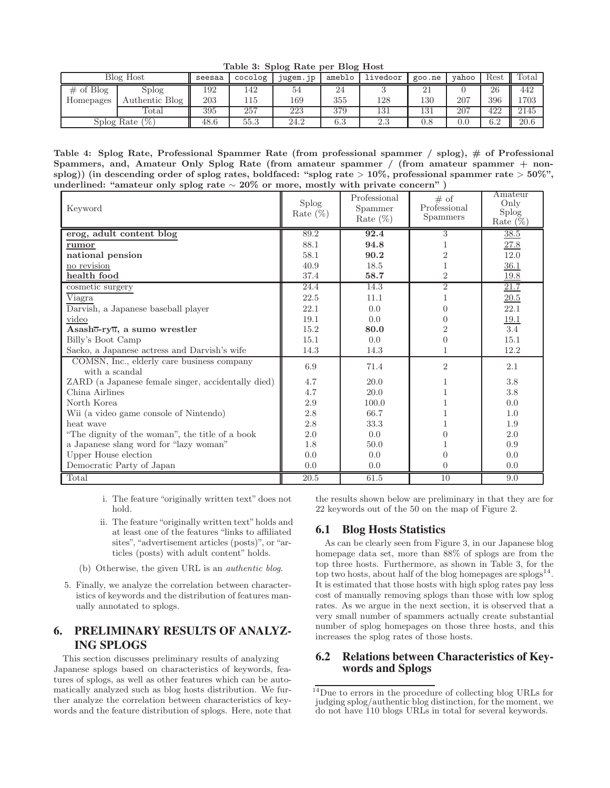**Table 3: Splog Rate per Blog Host**

| Blog Host         |                | seesaa | cocolog          | jugem.jp | ameblo  | livedoor | goo.ne | vahoo        | Rest      | $_{\rm Total}$ |
|-------------------|----------------|--------|------------------|----------|---------|----------|--------|--------------|-----------|----------------|
| of Blog           | Splog          | 192    | 142              | 54       | 24      |          |        |              | 26        | 442            |
| Homepages         | Authentic Blog | 203    | 115              | 169      | 355     | 128      | 130    | 207          | 396       | 1703           |
|                   | Total          | 395    | $\overline{257}$ | 223      | 379     | 131      | 131    | $20^{\circ}$ | 422       | 2145           |
| 1%,<br>Splog Rate |                | 48.6   | 55.3             | 24.2     | $6.3\,$ | $2.3\,$  | 0.8    | U.U          | ഒറ<br>∪.∠ | 20.6           |

**Table 4: Splog Rate, Professional Spammer Rate (from professional spammer / splog), # of Professional Spammers, and, Amateur Only Splog Rate (from amateur spammer / (from amateur spammer + nonsplog)) (in descending order of splog rates, boldfaced: "splog rate** > **10%, professional spammer rate** > **50%", underlined: "amateur only splog rate** ∼ **20% or more, mostly with private concern" )**

| Keyword                                                      | <b>Splog</b><br>Rate $(\%)$ | Professional<br>Spammer<br>Rate $(\%)$ | # of<br>Professional<br><b>Spammers</b> | Amateur<br>Only<br><b>Splog</b><br>Rate $(\%)$ |
|--------------------------------------------------------------|-----------------------------|----------------------------------------|-----------------------------------------|------------------------------------------------|
| erog, adult content blog                                     | 89.2                        | 92.4                                   | 3                                       | 38.5                                           |
| rumor                                                        | 88.1                        | 94.8                                   |                                         | 27.8                                           |
| national pension                                             | 58.1                        | 90.2                                   | $\overline{2}$                          | 12.0                                           |
| no revision                                                  | 40.9                        | 18.5                                   |                                         | 36.1                                           |
| health food                                                  | 37.4                        | 58.7                                   | $\overline{2}$                          | 19.8                                           |
| cosmetic surgery                                             | 24.4                        | 14.3                                   | $\overline{2}$                          | 21.7                                           |
| Viagra                                                       | 22.5                        | 11.1                                   |                                         | 20.5                                           |
| Darvish, a Japanese baseball player                          | 22.1                        | 0.0                                    |                                         | 22.1                                           |
| video                                                        | 19.1                        | 0.0                                    | $\Omega$                                | 19.1                                           |
| Asash <sub>0</sub> -ry $\overline{u}$ , a sumo wrestler      | 15.2                        | 80.0                                   | $\mathcal{D}$                           | 3.4                                            |
| Billy's Boot Camp                                            | 15.1                        | 0.0                                    | $\Omega$                                | 15.1                                           |
| Saeko, a Japanese actress and Darvish's wife                 | 14.3                        | 14.3                                   | 1                                       | 12.2                                           |
| COMSN, Inc., elderly care business company<br>with a scandal | 6.9                         | 71.4                                   | $\overline{2}$                          | 2.1                                            |
| ZARD (a Japanese female singer, accidentally died)           | 4.7                         | 20.0                                   |                                         | $3.8\,$                                        |
| China Airlines                                               | 4.7                         | 20.0                                   |                                         | 3.8                                            |
| North Korea                                                  | $2.9\,$                     | 100.0                                  |                                         | 0.0                                            |
| Wii (a video game console of Nintendo)                       | 2.8                         | 66.7                                   |                                         | 1.0                                            |
| heat wave                                                    | 2.8                         | 33.3                                   |                                         | 1.9                                            |
| "The dignity of the woman", the title of a book              | 2.0                         | 0.0                                    | $\Omega$                                | 2.0                                            |
| a Japanese slang word for "lazy woman"                       | 1.8                         | 50.0                                   |                                         | 0.9                                            |
| Upper House election                                         | 0.0                         | 0.0                                    | 0                                       | 0.0                                            |
| Democratic Party of Japan                                    | 0.0                         | 0.0                                    | $\theta$                                | 0.0                                            |
| Total                                                        | 20.5                        | 61.5                                   | 10                                      | 9.0                                            |

i. The feature "originally written text" does not hold.

- ii. The feature "originally written text"holds and at least one of the features "links to affiliated sites", "advertisement articles (posts)", or "articles (posts) with adult content" holds.
- (b) Otherwise, the given URL is an authentic blog.
- 5. Finally, we analyze the correlation between characteristics of keywords and the distribution of features manually annotated to splogs.

# 6. PRELIMINARY RESULTS OF ANALYZ-ING SPLOGS

This section discusses preliminary results of analyzing Japanese splogs based on characteristics of keywords, features of splogs, as well as other features which can be automatically analyzed such as blog hosts distribution. We further analyze the correlation between characteristics of keywords and the feature distribution of splogs. Here, note that the results shown below are preliminary in that they are for 22 keywords out of the 50 on the map of Figure 2.

### 6.1 Blog Hosts Statistics

As can be clearly seen from Figure 3, in our Japanese blog homepage data set, more than 88% of splogs are from the top three hosts. Furthermore, as shown in Table 3, for the top two hosts, about half of the blog homepages are  $\text{splogs}^{14}$ . It is estimated that those hosts with high splog rates pay less cost of manually removing splogs than those with low splog rates. As we argue in the next section, it is observed that a very small number of spammers actually create substantial number of splog homepages on those three hosts, and this increases the splog rates of those hosts.

### 6.2 Relations between Characteristics of Keywords and Splogs

<sup>14</sup>Due to errors in the procedure of collecting blog URLs for judging splog/authentic blog distinction, for the moment, we do not have 110 blogs URLs in total for several keywords.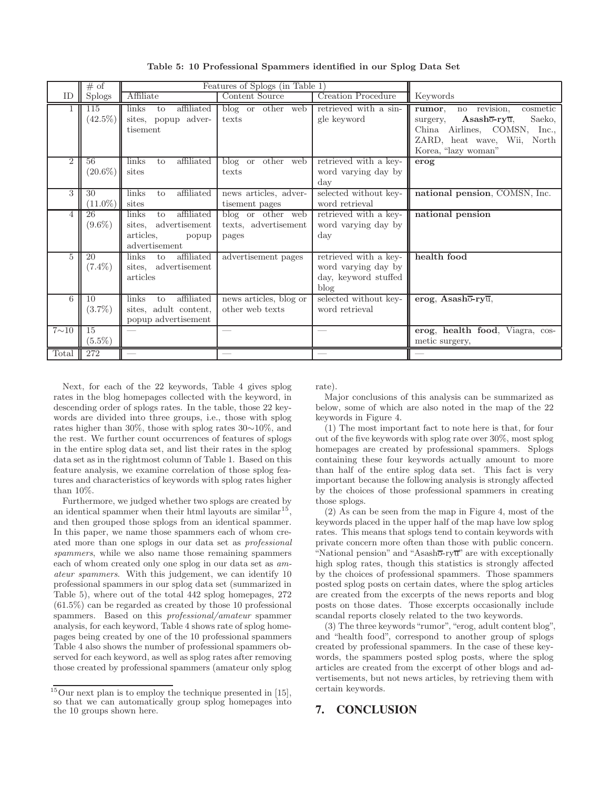|                | # of                         |                                                                                             | Features of Splogs (in Table 1)                    |                                                                              |                                                                                                                                                                              |
|----------------|------------------------------|---------------------------------------------------------------------------------------------|----------------------------------------------------|------------------------------------------------------------------------------|------------------------------------------------------------------------------------------------------------------------------------------------------------------------------|
| ID             | <b>Splogs</b>                | Affiliate                                                                                   | Content Source                                     | <b>Creation Procedure</b>                                                    | Keywords                                                                                                                                                                     |
|                | 115<br>$(42.5\%)$            | affiliated<br>links<br>to<br>sites, popup adver-<br>tisement                                | blog or other web<br>texts                         | retrieved with a sin-<br>gle keyword                                         | cosmetic<br>no revision.<br>rumor.<br>Asasho-ry $\overline{u}$ ,<br>Saeko,<br>surgery,<br>China Airlines, COMSN, Inc.,<br>ZARD, heat wave, Wii, North<br>Korea, "lazy woman" |
| $\overline{2}$ | 56<br>$(20.6\%)$             | links<br>affiliated<br>to<br>sites                                                          | blog or other web<br>texts                         | retrieved with a key-<br>word varying day by<br>day                          | erog                                                                                                                                                                         |
| 3              | 30<br>$(11.0\%)$             | affiliated<br>links<br>to<br>sites                                                          | news articles, adver-<br>tisement pages            | selected without key-<br>word retrieval                                      | national pension, COMSN, Inc.                                                                                                                                                |
| 4              | $\overline{26}$<br>$(9.6\%)$ | affiliated<br>links<br>to<br>advertisement<br>sites.<br>articles,<br>popup<br>advertisement | blog or other web<br>texts, advertisement<br>pages | retrieved with a key-<br>word varying day by<br>day                          | national pension                                                                                                                                                             |
| $\overline{5}$ | 20<br>$(7.4\%)$              | affiliated<br><i>links</i><br>to<br>sites, advertisement<br>articles                        | advertisement pages                                | retrieved with a key-<br>word varying day by<br>day, keyword stuffed<br>blog | health food                                                                                                                                                                  |
| 6              | 10<br>$(3.7\%)$              | affiliated<br>links<br>to<br>sites, adult content,<br>popup advertisement                   | news articles, blog or<br>other web texts          | selected without key-<br>word retrieval                                      | erog, Asashō-ryū,                                                                                                                                                            |
| $7{\sim}10$    | 15<br>$(5.5\%)$              |                                                                                             |                                                    |                                                                              | erog, health food, Viagra, cos-<br>metic surgery,                                                                                                                            |
| Total          | 272                          |                                                                                             |                                                    |                                                                              |                                                                                                                                                                              |

**Table 5: 10 Professional Spammers identified in our Splog Data Set**

Next, for each of the 22 keywords, Table 4 gives splog rates in the blog homepages collected with the keyword, in descending order of splogs rates. In the table, those 22 keywords are divided into three groups, i.e., those with splog rates higher than 30%, those with splog rates 30∼10%, and the rest. We further count occurrences of features of splogs in the entire splog data set, and list their rates in the splog data set as in the rightmost column of Table 1. Based on this feature analysis, we examine correlation of those splog features and characteristics of keywords with splog rates higher than 10%.

Furthermore, we judged whether two splogs are created by an identical spammer when their html layouts are similar<sup>15</sup>. and then grouped those splogs from an identical spammer. In this paper, we name those spammers each of whom created more than one splogs in our data set as professional spammers, while we also name those remaining spammers each of whom created only one splog in our data set as amateur spammers. With this judgement, we can identify 10 professional spammers in our splog data set (summarized in Table 5), where out of the total 442 splog homepages, 272 (61.5%) can be regarded as created by those 10 professional spammers. Based on this professional/amateur spammer analysis, for each keyword, Table 4 shows rate of splog homepages being created by one of the 10 professional spammers Table 4 also shows the number of professional spammers observed for each keyword, as well as splog rates after removing those created by professional spammers (amateur only splog rate).

Major conclusions of this analysis can be summarized as below, some of which are also noted in the map of the 22 keywords in Figure 4.

(1) The most important fact to note here is that, for four out of the five keywords with splog rate over 30%, most splog homepages are created by professional spammers. Splogs containing these four keywords actually amount to more than half of the entire splog data set. This fact is very important because the following analysis is strongly affected by the choices of those professional spammers in creating those splogs.

(2) As can be seen from the map in Figure 4, most of the keywords placed in the upper half of the map have low splog rates. This means that splogs tend to contain keywords with private concern more often than those with public concern. "National pension" and "Asasho-ryu" are with exceptionally high splog rates, though this statistics is strongly affected by the choices of professional spammers. Those spammers posted splog posts on certain dates, where the splog articles are created from the excerpts of the news reports and blog posts on those dates. Those excerpts occasionally include scandal reports closely related to the two keywords.

(3) The three keywords"rumor", "erog, adult content blog", and "health food", correspond to another group of splogs created by professional spammers. In the case of these keywords, the spammers posted splog posts, where the splog articles are created from the excerpt of other blogs and advertisements, but not news articles, by retrieving them with certain keywords.

### 7. CONCLUSION

 $15$ Our next plan is to employ the technique presented in [15], so that we can automatically group splog homepages into the 10 groups shown here.